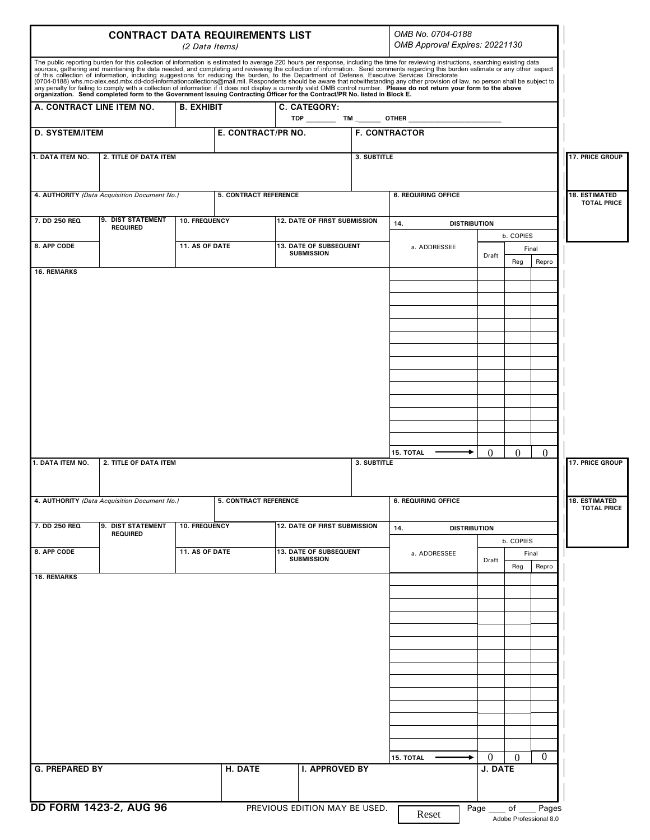| <b>CONTRACT DATA REQUIREMENTS LIST</b><br>(2 Data Items)              |                                                              |                |                              |                                             |                            | OMB No. 0704-0188<br>OMB Approval Expires: 20221130                                                                                                                                                                               |                           |                              |                                            |
|-----------------------------------------------------------------------|--------------------------------------------------------------|----------------|------------------------------|---------------------------------------------|----------------------------|-----------------------------------------------------------------------------------------------------------------------------------------------------------------------------------------------------------------------------------|---------------------------|------------------------------|--------------------------------------------|
|                                                                       |                                                              |                |                              |                                             |                            | The public reporting burden for this collection of information is estimated to average 220 hours per response, including the time for reviewing instructions, searching existing data<br>sources, gathering and maintaining the d |                           |                              |                                            |
| A. CONTRACT LINE ITEM NO.<br><b>B. EXHIBIT</b><br><b>C. CATEGORY:</b> |                                                              |                |                              |                                             |                            |                                                                                                                                                                                                                                   |                           |                              |                                            |
| <b>D. SYSTEM/ITEM</b>                                                 |                                                              |                | E. CONTRACT/PR NO.           |                                             | <b>F. CONTRACTOR</b>       |                                                                                                                                                                                                                                   |                           |                              |                                            |
| 1. DATA ITEM NO.<br>2. TITLE OF DATA ITEM                             |                                                              |                |                              |                                             | 3. SUBTITLE                |                                                                                                                                                                                                                                   | 17. PRICE GROUP           |                              |                                            |
| 4. AUTHORITY (Data Acquisition Document No.)                          |                                                              |                | <b>5. CONTRACT REFERENCE</b> |                                             |                            | <b>6. REQUIRING OFFICE</b>                                                                                                                                                                                                        |                           |                              | <b>18. ESTIMATED</b><br><b>TOTAL PRICE</b> |
| 7. DD 250 REQ                                                         | 9. DIST STATEMENT<br><b>REQUIRED</b>                         | 10. FREQUENCY  |                              | <b>12. DATE OF FIRST SUBMISSION</b>         |                            | 14.<br><b>DISTRIBUTION</b>                                                                                                                                                                                                        |                           |                              |                                            |
| 8. APP CODE                                                           |                                                              | 11. AS OF DATE |                              | 13. DATE OF SUBSEQUENT<br><b>SUBMISSION</b> |                            | a. ADDRESSEE                                                                                                                                                                                                                      | Draft                     | b. COPIES<br>Final           |                                            |
| <b>16. REMARKS</b>                                                    |                                                              |                |                              |                                             |                            |                                                                                                                                                                                                                                   |                           | Repro<br>Reg                 |                                            |
|                                                                       |                                                              |                |                              |                                             |                            |                                                                                                                                                                                                                                   |                           |                              |                                            |
|                                                                       |                                                              |                |                              |                                             |                            |                                                                                                                                                                                                                                   |                           |                              |                                            |
|                                                                       |                                                              |                |                              |                                             |                            |                                                                                                                                                                                                                                   |                           |                              |                                            |
|                                                                       |                                                              |                |                              |                                             |                            |                                                                                                                                                                                                                                   |                           |                              |                                            |
| 1. DATA ITEM NO.                                                      | 2. TITLE OF DATA ITEM                                        |                |                              | 3. SUBTITLE                                 |                            | $\Omega$<br>$\Omega$<br>$\Omega$<br>15. TOTAL                                                                                                                                                                                     |                           |                              | <b>17. PRICE GROUP</b>                     |
| 4. AUTHORITY (Data Acquisition Document No.)                          |                                                              |                | <b>5. CONTRACT REFERENCE</b> |                                             | <b>6. REQUIRING OFFICE</b> |                                                                                                                                                                                                                                   |                           | <b>18. ESTIMATED</b>         |                                            |
| 7. DD 250 REQ                                                         | 9. DIST STATEMENT<br><b>10. FREQUENCY</b><br><b>REQUIRED</b> |                | 12. DATE OF FIRST SUBMISSION |                                             |                            | <b>DISTRIBUTION</b><br>14.                                                                                                                                                                                                        |                           |                              | <b>TOTAL PRICE</b>                         |
| 8. APP CODE                                                           |                                                              | 11. AS OF DATE |                              | 13. DATE OF SUBSEQUENT<br><b>SUBMISSION</b> |                            | a. ADDRESSEE                                                                                                                                                                                                                      | Draft                     | b. COPIES<br>Final           |                                            |
| <b>16. REMARKS</b>                                                    |                                                              |                |                              |                                             |                            |                                                                                                                                                                                                                                   |                           | Repro<br>Reg                 |                                            |
|                                                                       |                                                              |                |                              |                                             |                            |                                                                                                                                                                                                                                   |                           |                              |                                            |
|                                                                       |                                                              |                |                              |                                             |                            |                                                                                                                                                                                                                                   |                           |                              |                                            |
|                                                                       |                                                              |                |                              |                                             |                            |                                                                                                                                                                                                                                   |                           |                              |                                            |
|                                                                       |                                                              |                |                              |                                             |                            |                                                                                                                                                                                                                                   |                           |                              |                                            |
|                                                                       |                                                              |                |                              |                                             |                            |                                                                                                                                                                                                                                   |                           |                              |                                            |
|                                                                       |                                                              |                |                              |                                             |                            |                                                                                                                                                                                                                                   |                           |                              |                                            |
|                                                                       |                                                              |                |                              |                                             |                            |                                                                                                                                                                                                                                   |                           |                              |                                            |
| <b>G. PREPARED BY</b>                                                 |                                                              |                | H. DATE                      | I. APPROVED BY                              |                            | <b>15. TOTAL</b>                                                                                                                                                                                                                  | $\overline{0}$<br>J. DATE | $\overline{0}$<br>$\theta$   |                                            |
|                                                                       |                                                              |                |                              |                                             |                            |                                                                                                                                                                                                                                   |                           |                              |                                            |
|                                                                       | <b>DD FORM 1423-2, AUG 96</b>                                |                |                              | PREVIOUS EDITION MAY BE USED.               |                            | Reset                                                                                                                                                                                                                             | Page                      | of<br>Adobe Professional 8.0 | Pages                                      |